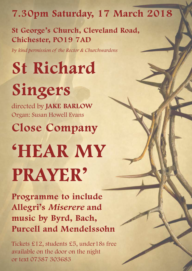# **7.30pm Saturday, 17 March 2018**

**St George's Church, Cleveland Road, Chichester, PO19 7AD**

*by kind permission of the Rector & Churchwardens*

**St Richard Singers**

directed by **JAKE BARLOW** Organ: Susan Howell Evans

**Close Company**

# **'HEAR MY PRAYER'**

**Programme to include Allegri's** *Miserere* **and music by Byrd, Bach, Purcell and Mendelssohn** 

Tickets £12, students £5, under18s free available on the door on the night or text 07387 303683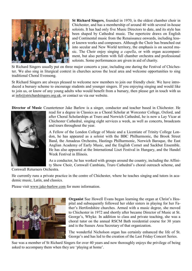

**St Richard Singers**, founded in 1970, is the oldest chamber choir in Chichester, and has a membership of around 40 with several in-house soloists. It has had only five Music Directors to date, and its style has been shaped by Cathedral music. The repertoire draws on English and Continental music from the Renaissance onwards, including lesser known works and composers. Although the Choir has branched out into secular and New World territory, the emphasis is on sacred music. The Choir enjoy singing *a capella*, or with organ accompaniment, but also perform with full chamber orchestra and professional soloists. Some performances are given in aid of charity.

St Richard Singers usually put on three major concerts a year, including one during the Festival of Chichester. We also sing in liturgical context in churches across the local area and welcome opportunities to sing traditional Choral Evensong.

St Richard Singers are always pleased to welcome new members to join our friendly choir. We have introduced a bursary scheme to encourage students and younger singers. If you enjoying singing and would like to join us, or know of any young adults who would benefit from a bursary, then please get in touch with us at info@strichardsingers.org.uk, or contact us via our website.

**Director of Music** Countertenor Jake Barlow is a singer, conductor and teacher based in Chichester. He



read for a degree in Classics as a Choral Scholar at Worcester College, Oxford, and after Choral Scholarships at Truro and Norwich Cathedral, he is now a Lay Vicar at Chichester Cathedral, singing eight services a week, as well as concerts, broadcasts and tours throughout the year.

A Fellow of the London College of Music and a Licentiate of Trinity College London, he has appeared as a soloist with the BBC Philharmonic, the Brook Street Band, the Amadeus Orchestra, Hastings Philharmonic, Norwich Baroque, the East Anglian Academy of Early Music, and the English Cornet and Sackbut Ensemble. He has also appeared at the International Liszt Festival in Hungary, and the Handel Week Festival in Illinois.

As a conductor, he has worked with groups around the country, including the Affinity Show Choir, Cornwall Cambiata, Truro Cathedral's choral outreach scheme, and

Cornwall Returners Orchestra.

He currently runs a private practice in the centre of Chichester, where he teaches singing and tutors in academic music, Latin, and classics.

Please visit [www.jake-barlow.com](http://www.jake-barlow.com/) for more information.



**Organist** Sue Howell Evans began learning the organ at Christ's Hospital and subsequently followed her older sisters in playing for her Father's Hertfordshire churches. Armed with a music degree, she moved to Chichester in 1972 and shortly after became Director of Music at St. George's, Whyke. In addition to class and private teaching, she was a choral tutor on the annual RSCM Bath residential course for 30 years and is the Sussex Area Secretary of that organization.

The wonderful Nicholson organ has certainly enhanced the life of St. George's and has led to the creation of the Last Friday Concert Series.

Sue was a member of St Richard Singers for over 40 years and now thoroughly enjoys the privilege of being asked to accompany them when they are 'playing at home'.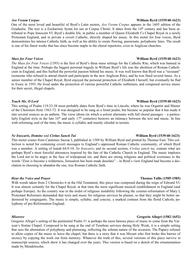One of the most loved and beautiful of Byrd's Latin motets, *Ave Verum Corpus* appears in the 1605 edition of the Gradualia. The text is a Eucharistic hymn for use at Corpus Christi. It dates from the  $14<sup>th</sup>$  century and has been attributed to Pope Innocent VI. Byrd's double life, in public a member of Queen Elizabeth I's Chapel Royal in a newly Protestant England, and in private a covert Catholic, directly shaped his music. In this motet for four voices, Byrd demonstrates his intense Catholic faith, as well as his ability to create flowing, passionate, polyphonic lines. The result is one of his finest works that has since become staple in the choral repertoire, even in Anglican churches.

## *Mass for Four Voices* **William Byrd (1539/40-1623)**

*The Mass for Four Voices* (1593) is the first of Byrd's three mass settings for the Catholic Rite, which was banned in England at the time. Perhaps the biggest personal tragedy in William Byrd's life was the abolition of Roman Catholicism in England, and this fuelled the powerful passion behind his music. It was well known that Byrd was a "recusant" (someone who refused to attend church and participate in the new Anglican Rite), and he was fined several times. As a senior member of the Chapel Royal, Byrd enjoyed the personal protection of Elizabeth I herself, but eventually he fled to Essex in 1593. He lived under the protection of various powerful Catholic noblemen, and composed service music for their secret, illegal chapels.

## *Teach Me, O Lord* **William Byrd (1539/40-1623)**

This setting of Psalm 119:33-38 most probably dates from Byrd's time in Lincoln, where he was Organist and Master of the Choristers from 1563-72. It was designed to be sung as a festal psalm, but became so popular that it has made it into several sources as an anthem. The verse idiom (in which a soloist alternates with full choral passages – a particularly English style in the late  $16<sup>th</sup>$  and early  $17<sup>th</sup>$  centuries) bestows an intimacy between the text and music. In line with reforming zeal of the time, the music is syllabic and mainly chordal in texture.

## *Ne Irascaris, Domine* and *Civitas Sancti Tui* **William Byrd (1539/40-1623)**

This motet comes from Cantiones Sacrae I, published in 1589 by William Byrd and printed by Thomas East. This collection is noted for containing covert messages to England's oppressed Roman Catholic community, of which Byrd was a member. A setting of Isaiah 64:9-10, *Ne Irascaris*, and its second section, *Civitas sancti tui*, contain what are perhaps Byrd's most forceful utterances inspired by the fate of the Catholic Church in England. The music implores the Lord not to be angry in the face of widespread sin, and there are strong religious and political overtones to the words "Zion is become a wilderness, Jerusalem has been made desolate" – in Byrd's view England had become a desolation in choosing to abandon the one, true Roman Catholic faith.

## *Hear the Voice and Prayer* **Thomas Tallis (1505-1585)**

With words taken from 2 Chronicles 6 in the Old Testament, this piece was composed during the reign of Edward VI. It was almost certainly for the Chapel Royal, at that time the most significant musical establishment in England (and perhaps Europe). As the country was in the midst of religious instability following the counter-reformation of Mary I, Protestant Reformers demanded that texts and music for religious services be plainer, so that they might be better understood by congregants. The music is simple, syllabic, and concise, a marked contrast from the florid Catholic polyphony of pre-Reformation England.

## *Miserere* **Gregorio Allegri (1582-1652)**

Gregorio Allegri's setting of the penitential Psalm 51 is perhaps the most famous piece of music to come from the Vatican's Sistine Chapel. Composed to be sung at the end of Tenebrae services during Holy Week, it is a simple setting that sees the alternation of polyphony and plainsong, reflecting the solemn nature of the occasion. The Papacy refused to allow copies of the music to leave the chapel, but there is a story that it was Mozart who first broke this barrier of secrecy by copying the work out from memory. Whatever the truth of this, several versions of this piece survive in manuscript sources, which show it has changed over the years. This version is based on a sketch of the ornamentation made by Mendelssohn.

### *Ave Verum Corpus* **William Byrd (1539/40-1623)**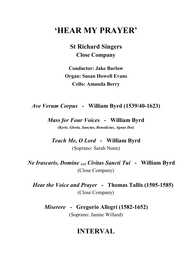# **'HEAR MY PRAYER'**

**St Richard Singers Close Company**

**Conductor: Jake Barlow Organ: Susan Howell Evans Cello: Amanda Berry**

*Ave Verum Corpus* **- William Byrd (1539/40-1623)**

*Mass for Four Voices* **- William Byrd** *(Kyrie, Gloria, Sanctus, Benedictus, Agnus Dei)*

*Teach Me, O Lord* **- William Byrd**

(Soprano: Sarah Nunn)

*Ne Irascaris, Domine* and *Civitas Sancti Tui* **- William Byrd** (Close Company)

*Hear the Voice and Prayer* **- Thomas Tallis (1505-1585)** (Close Company)

*Miserere* **- Gregorio Allegri (1582-1652)**

(Soprano: Janine Willard)

# **INTERVAL**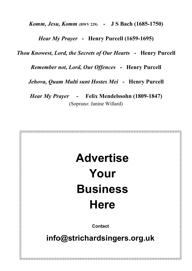*Komm, Jesu, Komm* **(BWV 229) - J S Bach (1685-1750)**

*Hear My Prayer* **- Henry Purcell (1659-1695)**

*Thou Knowest, Lord, the Secrets of Our Hearts* **- Henry Purcell**

*Remember not, Lord, Our Offences* **- Henry Purcell**

*Jehova, Quam Multi sunt Hostes Mei* **- Henry Purcell**

*Hear My Prayer* **- Felix Mendelssohn (1809-1847)** (Soprano: Janine Willard)

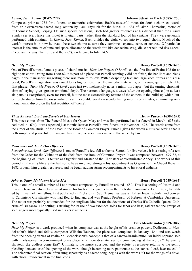### *Komm, Jesu, Komm* **(BWV 229) Johann Sebastian Bach (1685-1750)**

Composed prior to 1732 for a funeral or memorial celebration, Bach's masterful motet for double choir sets words from an eleven-verse sacred song written by Paul Thymich for the burial in 1684 of Jakob Thomasius, rector of St.Thomas' School, Leipzig. On such special occasions, Bach had greater resources at his disposal than for a usual Sunday service. Hence this motet is in eight parts, rather than the standard four of his cantatas. They were generally performed with continuo. In *Komm, Jesu, Komm*, Bach divides the eight voices into two equal choirs. Much of the work's interest is in how he treats these two choirs: at turns they combine, separate, echo, or contrast. Of particular interest is the amount of time and space allocated to the words "du bist der rechte Weg, die Wahrheit und das Leben" ("You are the way, the truth, and the life"), a reference to John 14:6.

One of Purcell's most famous pieces of choral music, '*Hear My Prayer, O Lord'* sets the first line of Psalm 102 for an eight-part choir. Dating from 1680-82, it is part of a piece that Purcell seemingly did not finish, the bar lines and blank pages in the manuscript suggesting there was more to follow. With a despairing text and large vocal forces at his disposal, Purcell's imagination was raised to its highest level, yet the melodic material is, on its own, quite simple. The first phrase, *'Hear My Prayer, O Lord'*, uses just two melancholy notes a minor third apart, but the turning chromaticism of 'crying' gives greater emotional depth. The harmonic language, always (after the opening phrases) in at least six parts, is exceptional, even for Purcell, but the most extraordinary feature of the anthem is the build-up which Purcell orchestrates from the outset—here is an inexorable vocal crescendo lasting over three minutes, culminating on a monumental discord on the last repetition of 'come'.

## *Thou Knowest, Lord, the Secrets of Our Hearts Henry Purcell (1659-1695)*

This piece comes from The Funeral Music for Queen Mary and was first performed at her funeral in March 1695 (she had died in 1694). It was repeated just months later at Purcell's own funeral in November 1695. The words come from the Order of the Burial of the Dead in the Book of Common Prayer. Purcell gives the words a musical setting that is both simple and powerful. Stirring and hymnlike, the vocal lines move in the same rhythm.

## *Remember not, Lord, Our Offences Henry Purcell (1659-1695)* **Henry Purcell (1659-1695)**

*Remember not, Lord, Our Offences* is one of Purcell's few full anthems. Scored for five voices, it is a setting of a text from the Order for the Visitation of the Sick from the Book of Common Prayer. It was composed between 1679-82, at the beginning of Purcell's tenure as Organist and Master of the Choristers at Westminster Abbey. The works of this period in Purcell's life are the last not to have involved strings – his appointment as Organist of the Chapel Royal in 1682 brought him greater resources, and he began adding string accompaniments to his choral anthems.

## *Jehova, Quam Multi sunt Hostes Mei Henry Purcell (1659-1695)* **Henry Purcell (1659-1695)**

This is one of a small number of Latin motets composed by Purcell in around 1680. This is a setting of Psalm 3 and Purcell chose an extremely unusual source for his text: the psalter from the Protestant humanistic Latin Bible, translated by Immanuel Tremellius, first published in England in 1580. Tremellius was an Italian Jewish scholar and convert to Calvinistic Christianity who had fled to England and was Regius Professor of Hebrew at Cambridge University. The motet was probably not intended for the Anglican Rite but for the devotions of Charles II's Catholic Queen, Catherine of Braganza. The setting is striking for its use of two extended solos for tenor and bass, rather than the groups of solo singers more typically used in his verse anthems.

## *Hear My Prayer* **Felix Mendelssohn (1809-1847)**

*Hear My Prayer* is a work produced when its composer was at the height of his creative powers. Dedicated to Mendelssohn's friend and fellow composer Wilhelm Taubert, the piece was completed in January 1844 and sets words from the opening verses of Psalm 55. Mendelssohn's concept is that of a cantata-in-miniature. An initial soprano solo with finely-woven accompaniment gives place to a more dramatic section commencing at the words "The enemy shouteth, the godless come fast". Ultimately, the music subsides, and the soloist's recitative returns to the gently pleading demeanour of the opening of the work, though becoming more passionate at the stanza "Lord, hear me call!" The celebrated final section, often sung separately as a sacred song, begins with the words "O for the wings of a dove" with choral involvement in the final coda.

## *Hear My Prayer* **Henry Purcell (1659-1695)**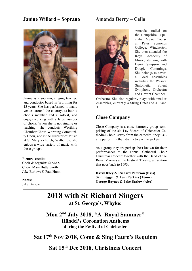## **Janine Willard – Soprano Amanda Berry – Cello**



Janine is a soprano, singing teacher, and conductor based in Worthing for 13 years. She has performed in many venues around the country, as both a chorus member and a soloist, and enjoys working with a large number of choirs. When she is not singing or teaching, she conducts Worthing Chamber Choir, Worthing Community Choir, and is the Director of Music at St Mary's church, Walberton; she enjoys a wide variety of music with these groups.

## **Picture credits:**

Choir & organist: © MAX Choir: Mary Butterworth Jake Barlow: © Paul Hurst

**Notes:** Jake Barlow



Amanda studied on the Hampshire Specialist Music Course at Peter Symonds College, Winchester. She then attended the Royal Academy of Music, studying with Derek Simpson and Dougie Cummings. She belongs to several local ensembles including the Wessex Sinfonietta, Solent Symphony Orchestra and Havant Chamber

Orchestra. She also regularly plays with smaller ensembles, currently a String Octet and a Piano Trio.

## **Close Company**

Close Company is a close harmony group comprising of the six Lay Vicars of Chichester Cathedral Choir. Away from the cathedral they usually perform in their distinctive white jackets.

As a group they are perhaps best known for their performances at the annual Cathedral Choir Christmas Concert together with the Band of the Royal Marines at the Festival Theatre, a tradition that goes back to 1993.

**David Riley & Richard Paterson (Bass) Sam Leggett & Tom Perkins (Tenor) George Haynes & Jake Barlow (Alto)**

# **2018 with St Richard Singers at St. George's, Whyke:**

**Mon 2nd July 2018, "A Royal Summer" Händel's Coronation Anthems during the Festival of Chichester**

**Sat 17th Nov 2018, Come & Sing Fauré's Requiem**

# **Sat 15th Dec 2018, Christmas Concert**